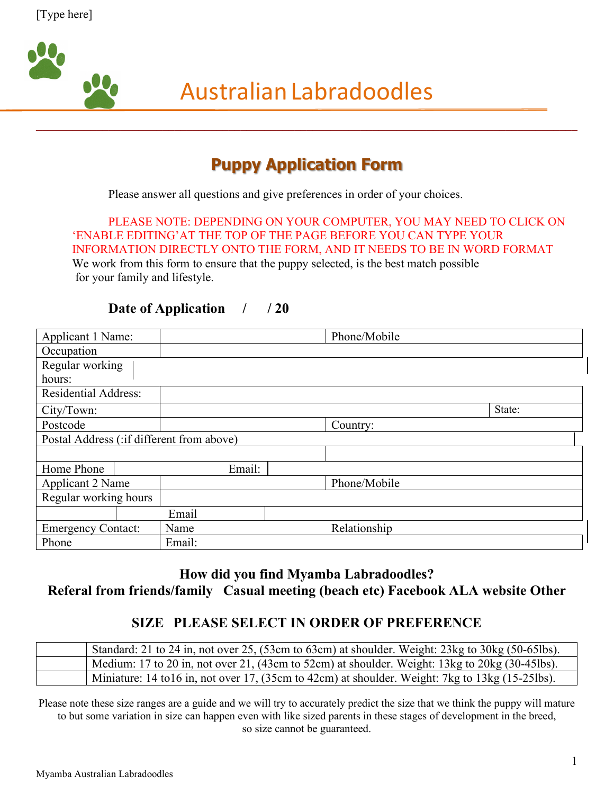

\_\_\_\_\_\_\_\_\_\_\_\_\_\_\_\_\_\_\_\_\_\_\_\_\_\_\_\_\_\_\_\_\_\_\_\_\_\_\_\_\_\_\_\_\_\_\_\_\_\_\_\_\_\_\_\_\_\_\_\_\_\_\_\_\_\_\_\_\_\_\_\_\_\_\_\_\_\_\_\_\_\_\_\_\_\_\_\_\_\_

# **Puppy Application Form**

Please answer all questions and give preferences in order of your choices.

PLEASE NOTE: DEPENDING ON YOUR COMPUTER, YOU MAY NEED TO CLICK ON 'ENABLE EDITING'AT THE TOP OF THE PAGE BEFORE YOU CAN TYPE YOUR INFORMATION DIRECTLY ONTO THE FORM, AND IT NEEDS TO BE IN WORD FORMAT

We work from this form to ensure that the puppy selected, is the best match possible for your family and lifestyle.

#### **Date of Application / / 20**

| Applicant 1 Name:           |                                            |        |  | Phone/Mobile |        |  |  |  |
|-----------------------------|--------------------------------------------|--------|--|--------------|--------|--|--|--|
| Occupation                  |                                            |        |  |              |        |  |  |  |
|                             | Regular working                            |        |  |              |        |  |  |  |
| hours:                      |                                            |        |  |              |        |  |  |  |
| <b>Residential Address:</b> |                                            |        |  |              |        |  |  |  |
| City/Town:                  |                                            |        |  |              | State: |  |  |  |
| Postcode                    |                                            |        |  | Country:     |        |  |  |  |
|                             | Postal Address (: if different from above) |        |  |              |        |  |  |  |
|                             |                                            |        |  |              |        |  |  |  |
| Home Phone                  |                                            | Email: |  |              |        |  |  |  |
| Applicant 2 Name            |                                            |        |  | Phone/Mobile |        |  |  |  |
| Regular working hours       |                                            |        |  |              |        |  |  |  |
|                             |                                            | Email  |  |              |        |  |  |  |
| <b>Emergency Contact:</b>   |                                            | Name   |  | Relationship |        |  |  |  |
| Phone                       |                                            | Email: |  |              |        |  |  |  |

#### **How did you find Myamba Labradoodles? Referal from friends/family Casual meeting (beach etc) Facebook ALA website Other**

#### **SIZE PLEASE SELECT IN ORDER OF PREFERENCE**

| Standard: 21 to 24 in, not over 25, (53cm to 63cm) at shoulder. Weight: 23kg to 30kg (50-65lbs).          |
|-----------------------------------------------------------------------------------------------------------|
| Medium: 17 to 20 in, not over 21, (43cm to 52cm) at shoulder. Weight: 13kg to 20kg (30-45lbs).            |
| Miniature: 14 to 16 in, not over 17, (35cm to 42cm) at shoulder. Weight: 7kg to $13\text{kg}$ (15-25lbs). |

Please note these size ranges are a guide and we will try to accurately predict the size that we think the puppy will mature to but some variation in size can happen even with like sized parents in these stages of development in the breed, so size cannot be guaranteed.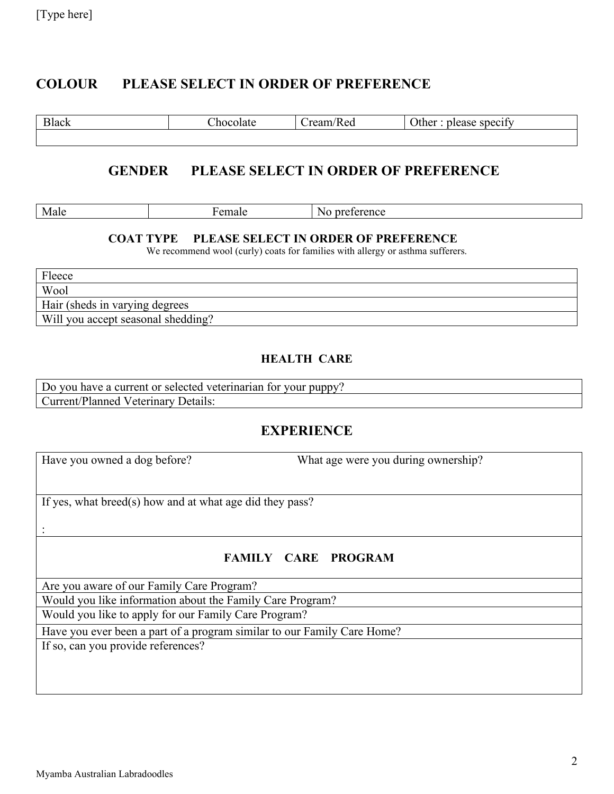#### **COLOUR PLEASE SELECT IN ORDER OF PREFERENCE**

| <b>Black</b> | ്ഥറവം<br>oiate | $r_{\Delta}$<br>ked | $\sim$<br>$\gamma$ ther<br>specify<br>.ורי |
|--------------|----------------|---------------------|--------------------------------------------|
|              |                |                     |                                            |

#### **GENDER PLEASE SELECT IN ORDER OF PREFERENCE**

| N.<br>$\sim$ $\sim$ $\sim$ $\sim$<br>Mя<br>$\sim$ 00<br>$-$<br>' chec<br>111aiu<br><b>AVIGIV</b><br>----- |
|-----------------------------------------------------------------------------------------------------------|
|-----------------------------------------------------------------------------------------------------------|

#### **COAT TYPE PLEASE SELECT IN ORDER OF PREFERENCE**

We recommend wool (curly) coats for families with allergy or asthma sufferers.

| Fleece                             |
|------------------------------------|
| Wool                               |
| Hair (sheds in varying degrees     |
| Will you accept seasonal shedding? |

#### **HEALTH CARE**

Do you have a current or selected veterinarian for your puppy? Current/Planned Veterinary Details:

#### **EXPERIENCE**

:

Have you owned a dog before? What age were you during ownership?

If yes, what breed(s) how and at what age did they pass?

#### **FAMILY CARE PROGRAM**

Are you aware of our Family Care Program?

Would you like information about the Family Care Program?

Would you like to apply for our Family Care Program?

Have you ever been a part of a program similar to our Family Care Home?

If so, can you provide references?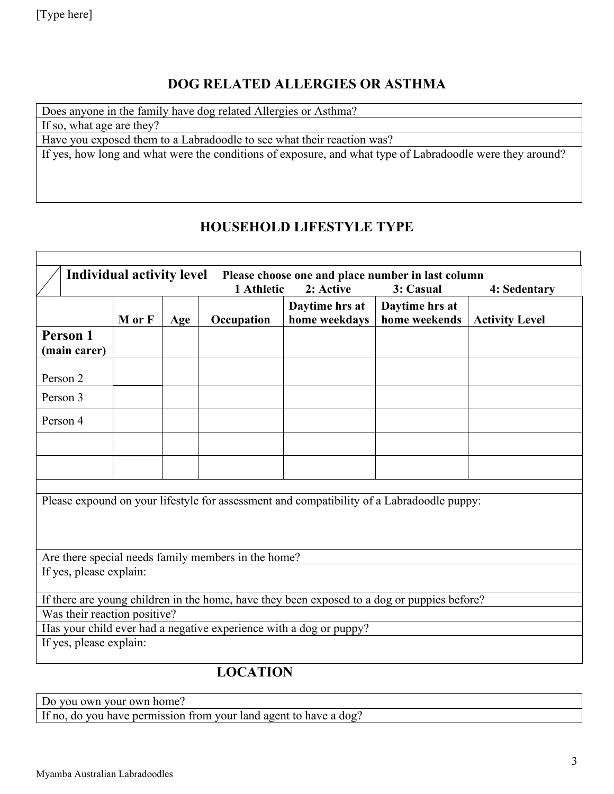## **DOG RELATED ALLERGIES OR ASTHMA**

Does anyone in the family have dog related Allergies or Asthma?

If so, what age are they?

Have you exposed them to a Labradoodle to see what their reaction was?

If yes, how long and what were the conditions of exposure, and what type of Labradoodle were they around?

# **HOUSEHOLD LIFESTYLE TYPE**

| <b>Individual activity level</b><br>Please choose one and place number in last column       |                                                                                           |     |            |                |                |                       |  |  |  |
|---------------------------------------------------------------------------------------------|-------------------------------------------------------------------------------------------|-----|------------|----------------|----------------|-----------------------|--|--|--|
|                                                                                             | 1 Athletic<br>2: Active<br>3: Casual<br>4: Sedentary                                      |     |            |                |                |                       |  |  |  |
|                                                                                             |                                                                                           |     |            | Daytime hrs at | Daytime hrs at |                       |  |  |  |
|                                                                                             | M or F                                                                                    | Age | Occupation | home weekdays  | home weekends  | <b>Activity Level</b> |  |  |  |
| Person 1                                                                                    |                                                                                           |     |            |                |                |                       |  |  |  |
| (main carer)                                                                                |                                                                                           |     |            |                |                |                       |  |  |  |
| Person 2                                                                                    |                                                                                           |     |            |                |                |                       |  |  |  |
| Person 3                                                                                    |                                                                                           |     |            |                |                |                       |  |  |  |
| Person 4                                                                                    |                                                                                           |     |            |                |                |                       |  |  |  |
|                                                                                             |                                                                                           |     |            |                |                |                       |  |  |  |
|                                                                                             |                                                                                           |     |            |                |                |                       |  |  |  |
|                                                                                             |                                                                                           |     |            |                |                |                       |  |  |  |
|                                                                                             | Please expound on your lifestyle for assessment and compatibility of a Labradoodle puppy: |     |            |                |                |                       |  |  |  |
|                                                                                             |                                                                                           |     |            |                |                |                       |  |  |  |
|                                                                                             |                                                                                           |     |            |                |                |                       |  |  |  |
| Are there special needs family members in the home?                                         |                                                                                           |     |            |                |                |                       |  |  |  |
| If yes, please explain:                                                                     |                                                                                           |     |            |                |                |                       |  |  |  |
| If there are young children in the home, have they been exposed to a dog or puppies before? |                                                                                           |     |            |                |                |                       |  |  |  |
| Was their reaction positive?                                                                |                                                                                           |     |            |                |                |                       |  |  |  |
| Has your child ever had a negative experience with a dog or puppy?                          |                                                                                           |     |            |                |                |                       |  |  |  |
| If yes, please explain:                                                                     |                                                                                           |     |            |                |                |                       |  |  |  |
|                                                                                             |                                                                                           |     |            |                |                |                       |  |  |  |
| <b>LOCATION</b>                                                                             |                                                                                           |     |            |                |                |                       |  |  |  |

Do you own your own home?

If no, do you have permission from your land agent to have a dog?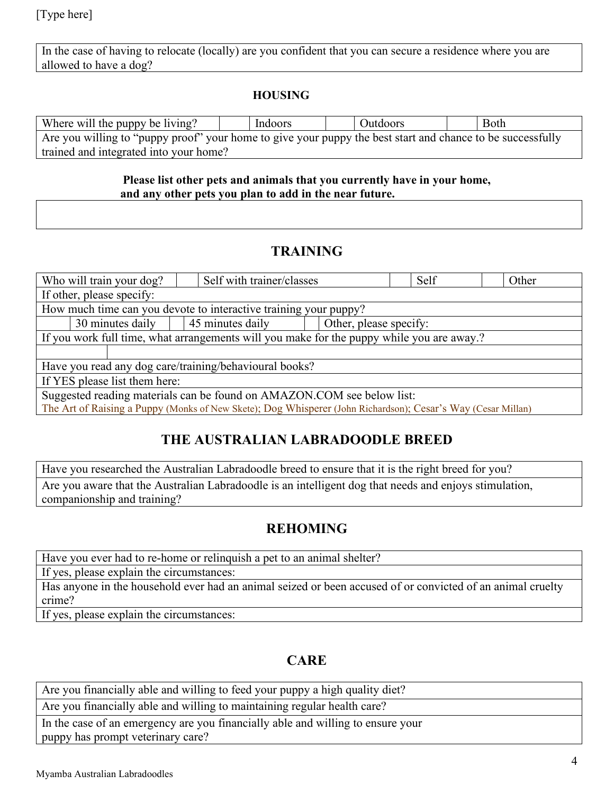[Type here]

In the case of having to relocate (locally) are you confident that you can secure a residence where you are allowed to have a dog?

#### **HOUSING**

| Where will the puppy be living?                                                                            |  | Indoors |  | Outdoors |  | Both |
|------------------------------------------------------------------------------------------------------------|--|---------|--|----------|--|------|
| Are you willing to "puppy proof" your home to give your puppy the best start and chance to be successfully |  |         |  |          |  |      |
| trained and integrated into your home?                                                                     |  |         |  |          |  |      |

#### **Please list other pets and animals that you currently have in your home, and any other pets you plan to add in the near future.**

#### **TRAINING**

| Who will train your dog?                                                                                     |  | Self with trainer/classes |  | Self | Other |  |  |  |
|--------------------------------------------------------------------------------------------------------------|--|---------------------------|--|------|-------|--|--|--|
| If other, please specify:                                                                                    |  |                           |  |      |       |  |  |  |
| How much time can you devote to interactive training your puppy?                                             |  |                           |  |      |       |  |  |  |
| 45 minutes daily<br>30 minutes daily<br>Other, please specify:                                               |  |                           |  |      |       |  |  |  |
| If you work full time, what arrangements will you make for the puppy while you are away.?                    |  |                           |  |      |       |  |  |  |
|                                                                                                              |  |                           |  |      |       |  |  |  |
| Have you read any dog care/training/behavioural books?                                                       |  |                           |  |      |       |  |  |  |
| If YES please list them here:                                                                                |  |                           |  |      |       |  |  |  |
| Suggested reading materials can be found on AMAZON.COM see below list:                                       |  |                           |  |      |       |  |  |  |
| The Art of Raising a Puppy (Monks of New Skete); Dog Whisperer (John Richardson); Cesar's Way (Cesar Millan) |  |                           |  |      |       |  |  |  |

## **THE AUSTRALIAN LABRADOODLE BREED**

Have you researched the Australian Labradoodle breed to ensure that it is the right breed for you? Are you aware that the Australian Labradoodle is an intelligent dog that needs and enjoys stimulation, companionship and training?

## **REHOMING**

Have you ever had to re-home or relinquish a pet to an animal shelter?

If yes, please explain the circumstances:

Has anyone in the household ever had an animal seized or been accused of or convicted of an animal cruelty crime?

If yes, please explain the circumstances:

## **CARE**

Are you financially able and willing to feed your puppy a high quality diet?

Are you financially able and willing to maintaining regular health care?

In the case of an emergency are you financially able and willing to ensure your puppy has prompt veterinary care?